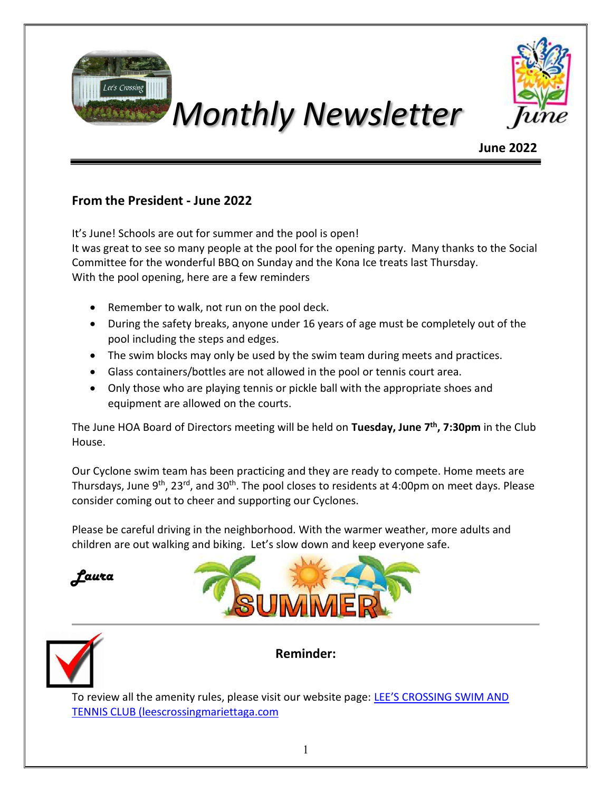



# June 2022

## From the President - June 2022

It's June! Schools are out for summer and the pool is open! It was great to see so many people at the pool for the opening party. Many thanks to the Social Committee for the wonderful BBQ on Sunday and the Kona Ice treats last Thursday. With the pool opening, here are a few reminders

- Remember to walk, not run on the pool deck.
- During the safety breaks, anyone under 16 years of age must be completely out of the pool including the steps and edges.
- The swim blocks may only be used by the swim team during meets and practices.
- Glass containers/bottles are not allowed in the pool or tennis court area.
- Only those who are playing tennis or pickle ball with the appropriate shoes and equipment are allowed on the courts.

The June HOA Board of Directors meeting will be held on Tuesday, June 7<sup>th</sup>, 7:30pm in the Club House.

Our Cyclone swim team has been practicing and they are ready to compete. Home meets are Thursdays, June 9<sup>th</sup>, 23<sup>rd</sup>, and 30<sup>th</sup>. The pool closes to residents at 4:00pm on meet days. Please consider coming out to cheer and supporting our Cyclones.

Please be careful driving in the neighborhood. With the warmer weather, more adults and children are out walking and biking. Let's slow down and keep everyone safe.







Reminder:

To review all the amenity rules, please visit our website page: LEE'S CROSSING SWIM AND TENNIS CLUB (leescrossingmariettaga.com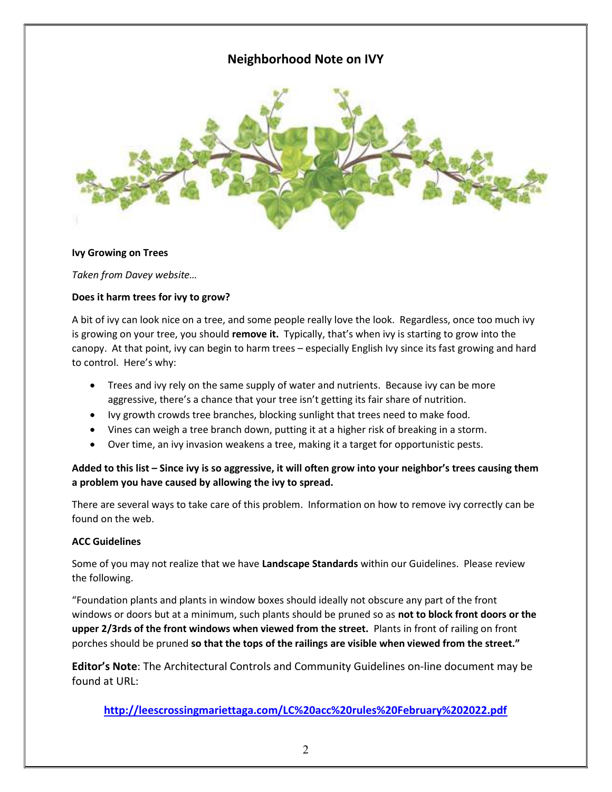# Neighborhood Note on IVY



#### Ivy Growing on Trees

Taken from Davey website…

#### Does it harm trees for ivy to grow?

A bit of ivy can look nice on a tree, and some people really love the look. Regardless, once too much ivy is growing on your tree, you should remove it. Typically, that's when ivy is starting to grow into the canopy. At that point, ivy can begin to harm trees – especially English Ivy since its fast growing and hard to control. Here's why:

- Trees and ivy rely on the same supply of water and nutrients. Because ivy can be more aggressive, there's a chance that your tree isn't getting its fair share of nutrition.
- Ivy growth crowds tree branches, blocking sunlight that trees need to make food.
- Vines can weigh a tree branch down, putting it at a higher risk of breaking in a storm.
- Over time, an ivy invasion weakens a tree, making it a target for opportunistic pests.

#### Added to this list – Since ivy is so aggressive, it will often grow into your neighbor's trees causing them a problem you have caused by allowing the ivy to spread.

There are several ways to take care of this problem. Information on how to remove ivy correctly can be found on the web.

#### ACC Guidelines

Some of you may not realize that we have Landscape Standards within our Guidelines. Please review the following.

"Foundation plants and plants in window boxes should ideally not obscure any part of the front windows or doors but at a minimum, such plants should be pruned so as not to block front doors or the upper 2/3rds of the front windows when viewed from the street. Plants in front of railing on front porches should be pruned so that the tops of the railings are visible when viewed from the street."

Editor's Note: The Architectural Controls and Community Guidelines on-line document may be found at URL:

http://leescrossingmariettaga.com/LC%20acc%20rules%20February%202022.pdf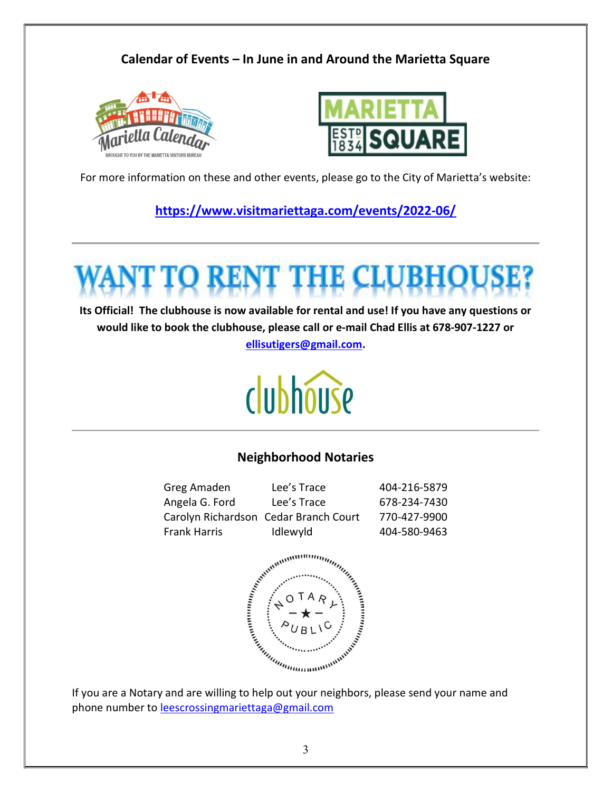# Calendar of Events – In June in and Around the Marietta Square





For more information on these and other events, please go to the City of Marietta's website:

https://www.visitmariettaga.com/events/2022-06/

Its Official! The clubhouse is now available for rental and use! If you have any questions or would like to book the clubhouse, please call or e-mail Chad Ellis at 678-907-1227 or ellisutigers@gmail.com.

# clubhouse

### Neighborhood Notaries

| Greg Amaden                           | Lee's Trace | 404-216-5879 |
|---------------------------------------|-------------|--------------|
| Angela G. Ford                        | Lee's Trace | 678-234-7430 |
| Carolyn Richardson Cedar Branch Court |             | 770-427-9900 |
| <b>Frank Harris</b>                   | Idlewyld    | 404-580-9463 |



If you are a Notary and are willing to help out your neighbors, please send your name and phone number to leescrossingmariettaga@gmail.com